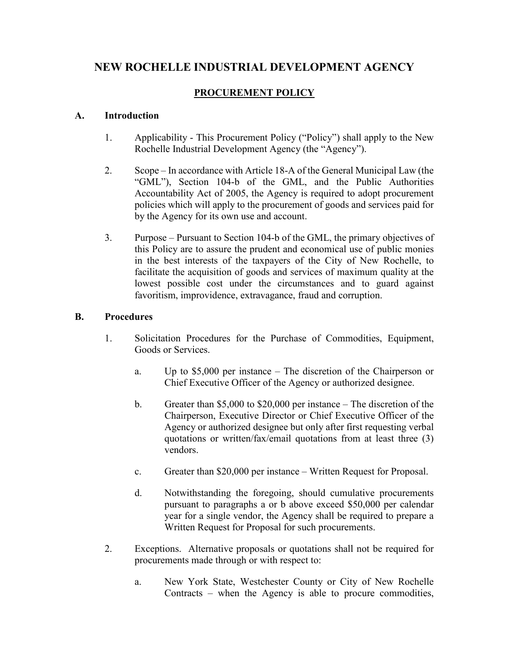# **NEW ROCHELLE INDUSTRIAL DEVELOPMENT AGENCY**

## **PROCUREMENT POLICY**

#### **A. Introduction**

- 1. Applicability This Procurement Policy ("Policy") shall apply to the New Rochelle Industrial Development Agency (the "Agency").
- 2. Scope In accordance with Article 18-A of the General Municipal Law (the "GML"), Section 104-b of the GML, and the Public Authorities Accountability Act of 2005, the Agency is required to adopt procurement policies which will apply to the procurement of goods and services paid for by the Agency for its own use and account.
- 3. Purpose Pursuant to Section 104-b of the GML, the primary objectives of this Policy are to assure the prudent and economical use of public monies in the best interests of the taxpayers of the City of New Rochelle, to facilitate the acquisition of goods and services of maximum quality at the lowest possible cost under the circumstances and to guard against favoritism, improvidence, extravagance, fraud and corruption.

### **B. Procedures**

- 1. Solicitation Procedures for the Purchase of Commodities, Equipment, Goods or Services.
	- a. Up to \$5,000 per instance The discretion of the Chairperson or Chief Executive Officer of the Agency or authorized designee.
	- b. Greater than \$5,000 to \$20,000 per instance The discretion of the Chairperson, Executive Director or Chief Executive Officer of the Agency or authorized designee but only after first requesting verbal quotations or written/fax/email quotations from at least three (3) vendors.
	- c. Greater than \$20,000 per instance Written Request for Proposal.
	- d. Notwithstanding the foregoing, should cumulative procurements pursuant to paragraphs a or b above exceed \$50,000 per calendar year for a single vendor, the Agency shall be required to prepare a Written Request for Proposal for such procurements.
- 2. Exceptions. Alternative proposals or quotations shall not be required for procurements made through or with respect to:
	- a. New York State, Westchester County or City of New Rochelle Contracts – when the Agency is able to procure commodities,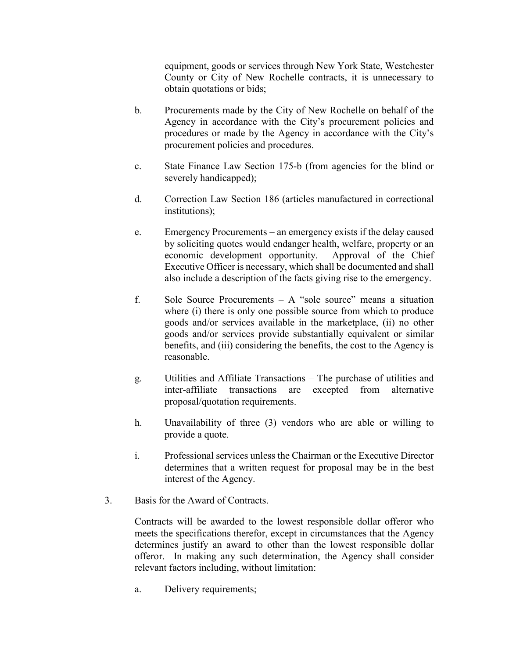equipment, goods or services through New York State, Westchester County or City of New Rochelle contracts, it is unnecessary to obtain quotations or bids;

- b. Procurements made by the City of New Rochelle on behalf of the Agency in accordance with the City's procurement policies and procedures or made by the Agency in accordance with the City's procurement policies and procedures.
- c. State Finance Law Section 175-b (from agencies for the blind or severely handicapped);
- d. Correction Law Section 186 (articles manufactured in correctional institutions);
- e. Emergency Procurements an emergency exists if the delay caused by soliciting quotes would endanger health, welfare, property or an economic development opportunity. Approval of the Chief Executive Officer is necessary, which shall be documented and shall also include a description of the facts giving rise to the emergency.
- f. Sole Source Procurements  $A$  "sole source" means a situation where (i) there is only one possible source from which to produce goods and/or services available in the marketplace, (ii) no other goods and/or services provide substantially equivalent or similar benefits, and (iii) considering the benefits, the cost to the Agency is reasonable.
- g. Utilities and Affiliate Transactions The purchase of utilities and inter-affiliate transactions are excepted from alternative proposal/quotation requirements.
- h. Unavailability of three (3) vendors who are able or willing to provide a quote.
- i. Professional services unless the Chairman or the Executive Director determines that a written request for proposal may be in the best interest of the Agency.
- 3. Basis for the Award of Contracts.

Contracts will be awarded to the lowest responsible dollar offeror who meets the specifications therefor, except in circumstances that the Agency determines justify an award to other than the lowest responsible dollar offeror. In making any such determination, the Agency shall consider relevant factors including, without limitation:

a. Delivery requirements;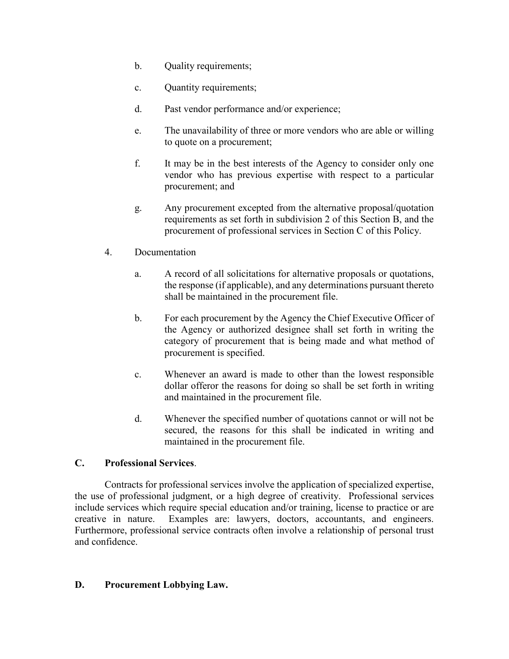- b. Quality requirements;
- c. Quantity requirements;
- d. Past vendor performance and/or experience;
- e. The unavailability of three or more vendors who are able or willing to quote on a procurement;
- f. It may be in the best interests of the Agency to consider only one vendor who has previous expertise with respect to a particular procurement; and
- g. Any procurement excepted from the alternative proposal/quotation requirements as set forth in subdivision 2 of this Section B, and the procurement of professional services in Section C of this Policy.
- 4. Documentation
	- a. A record of all solicitations for alternative proposals or quotations, the response (if applicable), and any determinations pursuant thereto shall be maintained in the procurement file.
	- b. For each procurement by the Agency the Chief Executive Officer of the Agency or authorized designee shall set forth in writing the category of procurement that is being made and what method of procurement is specified.
	- c. Whenever an award is made to other than the lowest responsible dollar offeror the reasons for doing so shall be set forth in writing and maintained in the procurement file.
	- d. Whenever the specified number of quotations cannot or will not be secured, the reasons for this shall be indicated in writing and maintained in the procurement file.

### **C. Professional Services**.

Contracts for professional services involve the application of specialized expertise, the use of professional judgment, or a high degree of creativity. Professional services include services which require special education and/or training, license to practice or are creative in nature. Examples are: lawyers, doctors, accountants, and engineers. Furthermore, professional service contracts often involve a relationship of personal trust and confidence.

#### **D. Procurement Lobbying Law.**